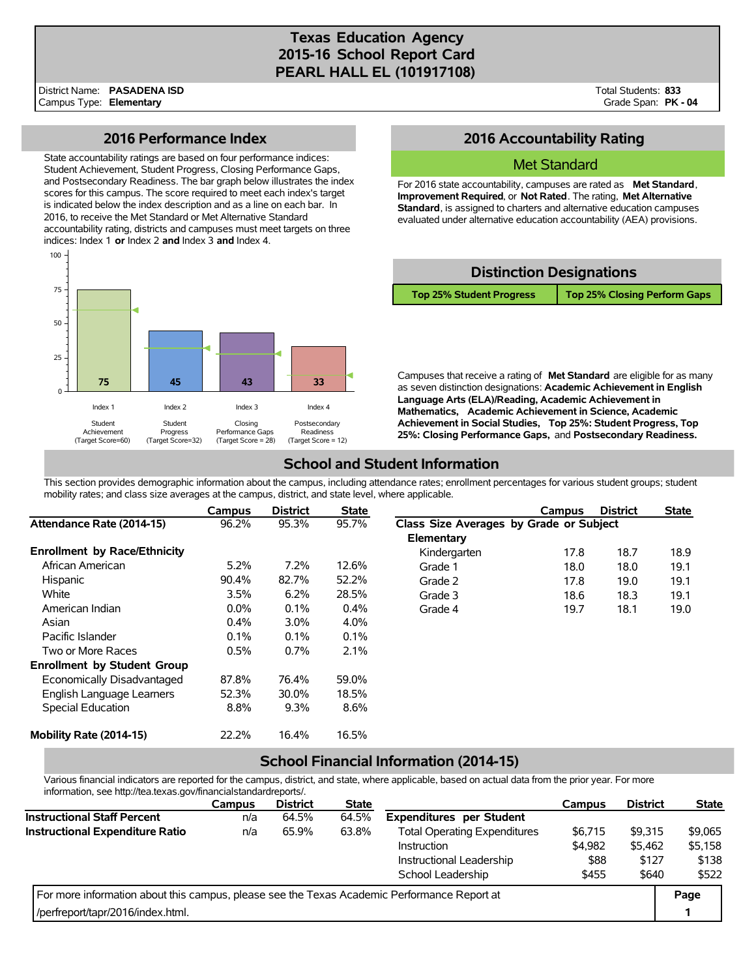# **Texas Education Agency 2015-16 School Report Card PEARL HALL EL (101917108)**

Total Students: **833** Grade Span: **PK - 04**

## **2016 Performance Index**

State accountability ratings are based on four performance indices: Student Achievement, Student Progress, Closing Performance Gaps, and Postsecondary Readiness. The bar graph below illustrates the index scores for this campus. The score required to meet each index's target is indicated below the index description and as a line on each bar. In 2016, to receive the Met Standard or Met Alternative Standard accountability rating, districts and campuses must meet targets on three indices: Index 1 **or** Index 2 **and** Index 3 **and** Index 4.



# **2016 Accountability Rating**

#### Met Standard

For 2016 state accountability, campuses are rated as **Met Standard**, **Improvement Required**, or **Not Rated**. The rating, **Met Alternative Standard**, is assigned to charters and alternative education campuses evaluated under alternative education accountability (AEA) provisions.



Campuses that receive a rating of **Met Standard** are eligible for as many as seven distinction designations: **Academic Achievement in English Language Arts (ELA)/Reading, Academic Achievement in Mathematics, Academic Achievement in Science, Academic Achievement in Social Studies, Top 25%: Student Progress, Top 25%: Closing Performance Gaps,** and **Postsecondary Readiness.**

# **School and Student Information**

This section provides demographic information about the campus, including attendance rates; enrollment percentages for various student groups; student mobility rates; and class size averages at the campus, district, and state level, where applicable.

|                                     | Campus  | <b>District</b> | <b>State</b> |                                         | Campus | <b>District</b> | <b>State</b> |
|-------------------------------------|---------|-----------------|--------------|-----------------------------------------|--------|-----------------|--------------|
| Attendance Rate (2014-15)           | 96.2%   | 95.3%           | 95.7%        | Class Size Averages by Grade or Subject |        |                 |              |
|                                     |         |                 |              | Elementary                              |        |                 |              |
| <b>Enrollment by Race/Ethnicity</b> |         |                 |              | Kindergarten                            | 17.8   | 18.7            | 18.9         |
| African American                    | 5.2%    | 7.2%            | 12.6%        | Grade 1                                 | 18.0   | 18.0            | 19.1         |
| Hispanic                            | 90.4%   | 82.7%           | 52.2%        | Grade 2                                 | 17.8   | 19.0            | 19.1         |
| White                               | 3.5%    | 6.2%            | 28.5%        | Grade 3                                 | 18.6   | 18.3            | 19.1         |
| American Indian                     | $0.0\%$ | 0.1%            | 0.4%         | Grade 4                                 | 19.7   | 18.1            | 19.0         |
| Asian                               | $0.4\%$ | $3.0\%$         | 4.0%         |                                         |        |                 |              |
| Pacific Islander                    | 0.1%    | 0.1%            | 0.1%         |                                         |        |                 |              |
| Two or More Races                   | 0.5%    | 0.7%            | 2.1%         |                                         |        |                 |              |
| <b>Enrollment by Student Group</b>  |         |                 |              |                                         |        |                 |              |
| Economically Disadvantaged          | 87.8%   | 76.4%           | 59.0%        |                                         |        |                 |              |
| English Language Learners           | 52.3%   | 30.0%           | 18.5%        |                                         |        |                 |              |
| Special Education                   | 8.8%    | 9.3%            | 8.6%         |                                         |        |                 |              |
| Mobility Rate (2014-15)             | 22.2%   | 16.4%           | 16.5%        |                                         |        |                 |              |

## **School Financial Information (2014-15)**

Various financial indicators are reported for the campus, district, and state, where applicable, based on actual data from the prior year. For more information, see http://tea.texas.gov/financialstandardreports/.

|                                                                                             | <b>Campus</b> | <b>District</b> | <b>State</b> |                                     | Campus  | <b>District</b> | <b>State</b> |
|---------------------------------------------------------------------------------------------|---------------|-----------------|--------------|-------------------------------------|---------|-----------------|--------------|
| <b>Instructional Staff Percent</b>                                                          | n/a           | 64.5%           | 64.5%        | <b>Expenditures per Student</b>     |         |                 |              |
| Instructional Expenditure Ratio                                                             | n/a           | 65.9%           | 63.8%        | <b>Total Operating Expenditures</b> | \$6,715 | \$9.315         | \$9,065      |
|                                                                                             |               |                 |              | Instruction                         | \$4,982 | \$5,462         | \$5,158      |
|                                                                                             |               |                 |              | Instructional Leadership            | \$88    | \$127           | \$138        |
|                                                                                             |               |                 |              | School Leadership                   | \$455   | \$640           | \$522        |
| For more information about this campus, please see the Texas Academic Performance Report at |               |                 |              |                                     |         |                 | Page         |
| l/perfreport/tapr/2016/index.html.                                                          |               |                 |              |                                     |         |                 |              |